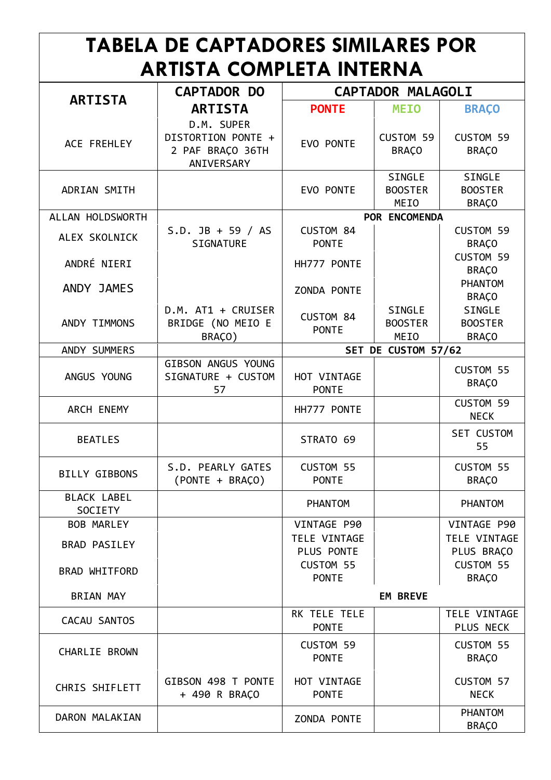## **TABELA DE CAPTADORES SIMILARES POR ARTISTA COMPLETA INTERNA**

|                               | <b>CAPTADOR DO</b>                                                 | <b>CAPTADOR MALAGOLI</b>     |                                  |                                          |  |
|-------------------------------|--------------------------------------------------------------------|------------------------------|----------------------------------|------------------------------------------|--|
| <b>ARTISTA</b>                | <b>ARTISTA</b>                                                     | <b>PONTE</b>                 | <b>MEIO</b>                      | <b>BRACO</b>                             |  |
| ACE FREHLEY                   | D.M. SUPER<br>DISTORTION PONTE +<br>2 PAF BRAÇO 36TH<br>ANIVERSARY | EVO PONTE                    | CUSTOM 59<br><b>BRAÇO</b>        | CUSTOM 59<br><b>BRAÇO</b>                |  |
| <b>ADRIAN SMITH</b>           |                                                                    | EVO PONTE                    | SINGLE<br><b>BOOSTER</b><br>MEIO | SINGLE<br><b>BOOSTER</b><br><b>BRAÇO</b> |  |
| ALLAN HOLDSWORTH              |                                                                    | POR ENCOMENDA                |                                  |                                          |  |
| ALEX SKOLNICK                 | $S.D.$ JB + 59 / AS<br>SIGNATURE                                   | CUSTOM 84<br><b>PONTE</b>    |                                  | CUSTOM 59<br><b>BRAÇO</b>                |  |
| ANDRÉ NIERI                   |                                                                    | HH777 PONTE                  |                                  | CUSTOM 59<br><b>BRAÇO</b>                |  |
| ANDY JAMES                    |                                                                    | ZONDA PONTE                  |                                  | PHANTOM<br><b>BRAÇO</b>                  |  |
| ANDY TIMMONS                  | D.M. AT1 + CRUISER<br>BRIDGE (NO MEIO E<br>BRAÇO)                  | CUSTOM 84<br><b>PONTE</b>    | SINGLE<br><b>BOOSTER</b><br>MEIO | SINGLE<br><b>BOOSTER</b><br><b>BRAÇO</b> |  |
| ANDY SUMMERS                  |                                                                    | SET DE CUSTOM 57/62          |                                  |                                          |  |
| ANGUS YOUNG                   | GIBSON ANGUS YOUNG<br>SIGNATURE + CUSTOM<br>57                     | HOT VINTAGE<br><b>PONTE</b>  |                                  | CUSTOM 55<br><b>BRAÇO</b>                |  |
| ARCH ENEMY                    |                                                                    | HH777 PONTE                  |                                  | CUSTOM 59<br><b>NECK</b>                 |  |
| <b>BEATLES</b>                |                                                                    | STRATO 69                    |                                  | SET CUSTOM<br>55                         |  |
| <b>BILLY GIBBONS</b>          | S.D. PEARLY GATES<br>(PONTE + BRAÇO)                               | CUSTOM 55<br><b>PONTE</b>    |                                  | CUSTOM 55<br><b>BRAÇO</b>                |  |
| <b>BLACK LABEL</b><br>SOCIETY |                                                                    | <b>PHANTOM</b>               |                                  | <b>PHANTOM</b>                           |  |
| <b>BOB MARLEY</b>             |                                                                    | VINTAGE P90                  |                                  | VINTAGE P90                              |  |
| <b>BRAD PASILEY</b>           |                                                                    | TELE VINTAGE<br>PLUS PONTE   |                                  | TELE VINTAGE<br>PLUS BRAÇO               |  |
| <b>BRAD WHITFORD</b>          |                                                                    | CUSTOM 55<br><b>PONTE</b>    |                                  | CUSTOM 55<br><b>BRAÇO</b>                |  |
| <b>BRIAN MAY</b>              |                                                                    | <b>EM BREVE</b>              |                                  |                                          |  |
| CACAU SANTOS                  |                                                                    | RK TELE TELE<br><b>PONTE</b> |                                  | TELE VINTAGE<br>PLUS NECK                |  |
| CHARLIE BROWN                 |                                                                    | CUSTOM 59<br><b>PONTE</b>    |                                  | CUSTOM 55<br><b>BRAÇO</b>                |  |
| CHRIS SHIFLETT                | GIBSON 498 T PONTE<br>+ 490 R BRAÇO                                | HOT VINTAGE<br><b>PONTE</b>  |                                  | CUSTOM 57<br><b>NECK</b>                 |  |
| DARON MALAKIAN                |                                                                    | ZONDA PONTE                  |                                  | <b>PHANTOM</b><br><b>BRAÇO</b>           |  |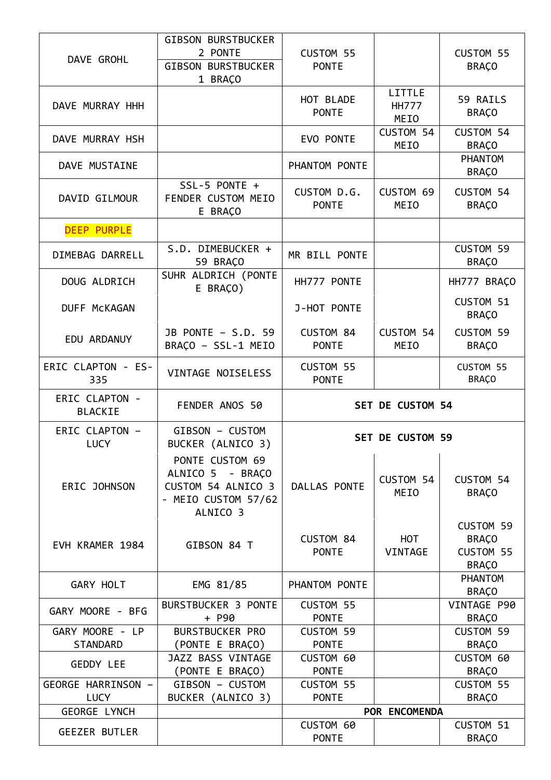| DAVE GROHL                                  | <b>GIBSON BURSTBUCKER</b><br>2 PONTE                                                         | CUSTOM 55<br><b>PONTE</b>                        |                                | CUSTOM 55<br><b>BRAÇO</b>                              |
|---------------------------------------------|----------------------------------------------------------------------------------------------|--------------------------------------------------|--------------------------------|--------------------------------------------------------|
|                                             | <b>GIBSON BURSTBUCKER</b><br>1 BRAÇO                                                         |                                                  |                                |                                                        |
| DAVE MURRAY HHH                             |                                                                                              | HOT BLADE<br><b>PONTE</b>                        | LITTLE<br><b>HH777</b><br>MEIO | 59 RAILS<br><b>BRAÇO</b>                               |
| DAVE MURRAY HSH                             |                                                                                              | EVO PONTE                                        | CUSTOM 54<br>MEIO              | CUSTOM 54<br><b>BRAÇO</b>                              |
| <b>DAVE MUSTAINE</b>                        |                                                                                              | PHANTOM PONTE                                    |                                | <b>PHANTOM</b><br><b>BRAÇO</b>                         |
| DAVID GILMOUR                               | SSL-5 PONTE +<br>FENDER CUSTOM MEIO<br>E BRAÇO                                               | CUSTOM 69<br>CUSTOM D.G.<br><b>PONTE</b><br>MEIO |                                | CUSTOM 54<br><b>BRAÇO</b>                              |
| <b>DEEP PURPLE</b>                          |                                                                                              |                                                  |                                |                                                        |
| DIMEBAG DARRELL                             | S.D. DIMEBUCKER +<br>59 BRAÇO                                                                | MR BILL PONTE                                    |                                | CUSTOM 59<br><b>BRAÇO</b>                              |
| DOUG ALDRICH                                | SUHR ALDRICH (PONTE<br>E BRAÇO)                                                              | HH777 PONTE                                      |                                | HH777 BRAÇO                                            |
| DUFF McKAGAN                                |                                                                                              | J-HOT PONTE                                      |                                | CUSTOM 51<br><b>BRAÇO</b>                              |
| EDU ARDANUY                                 | JB PONTE - S.D. 59<br>BRAÇO - SSL-1 MEIO                                                     | CUSTOM 84<br><b>PONTE</b>                        | CUSTOM 54<br>MEIO              | CUSTOM 59<br><b>BRAÇO</b>                              |
| ERIC CLAPTON - ES-<br>335                   | VINTAGE NOISELESS                                                                            | CUSTOM 55<br><b>PONTE</b>                        |                                | CUSTOM 55<br><b>BRAÇO</b>                              |
|                                             |                                                                                              |                                                  |                                |                                                        |
| ERIC CLAPTON -<br><b>BLACKIE</b>            | FENDER ANOS 50                                                                               |                                                  | SET DE CUSTOM 54               |                                                        |
| ERIC CLAPTON -<br>LUCY                      | GIBSON - CUSTOM<br>BUCKER (ALNICO 3)                                                         |                                                  | <b>SET DE CUSTOM 59</b>        |                                                        |
| ERIC JOHNSON                                | PONTE CUSTOM 69<br>ALNICO 5 - BRAÇO<br>CUSTOM 54 ALNICO 3<br>- MEIO CUSTOM 57/62<br>ALNICO 3 | DALLAS PONTE                                     | CUSTOM 54<br>MEIO              | CUSTOM 54<br><b>BRAÇO</b>                              |
| EVH KRAMER 1984                             | GIBSON 84 T                                                                                  | CUSTOM 84<br><b>PONTE</b>                        | <b>HOT</b><br><b>VINTAGE</b>   | CUSTOM 59<br><b>BRAÇO</b><br>CUSTOM 55<br><b>BRAÇO</b> |
| GARY HOLT                                   | EMG 81/85                                                                                    | PHANTOM PONTE                                    |                                | <b>PHANTOM</b><br><b>BRAÇO</b>                         |
| GARY MOORE - BFG                            | <b>BURSTBUCKER 3 PONTE</b><br>+ P90                                                          | CUSTOM 55<br><b>PONTE</b>                        |                                | VINTAGE P90<br><b>BRAÇO</b>                            |
| GARY MOORE - LP<br><b>STANDARD</b>          | <b>BURSTBUCKER PRO</b><br>(PONTE E BRAÇO)                                                    | CUSTOM 59<br><b>PONTE</b>                        |                                | CUSTOM 59<br><b>BRAÇO</b>                              |
| <b>GEDDY LEE</b>                            | JAZZ BASS VINTAGE<br>(PONTE E BRAÇO)                                                         | CUSTOM 60<br><b>PONTE</b>                        |                                | CUSTOM 60<br><b>BRAÇO</b>                              |
| GEORGE HARRINSON -                          | GIBSON - CUSTOM                                                                              | CUSTOM 55                                        |                                | CUSTOM 55                                              |
| <b>LUCY</b>                                 | BUCKER (ALNICO 3)                                                                            | <b>PONTE</b>                                     |                                | <b>BRAÇO</b>                                           |
| <b>GEORGE LYNCH</b><br><b>GEEZER BUTLER</b> |                                                                                              | CUSTOM 60                                        | POR ENCOMENDA                  | CUSTOM 51                                              |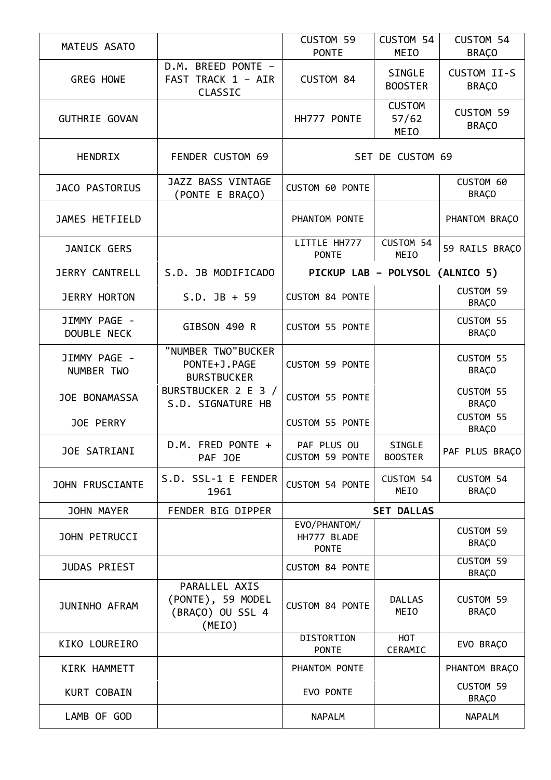| MATEUS ASATO                |                                                                  | CUSTOM 59                                                     | CUSTOM 54                      | CUSTOM 54                                   |
|-----------------------------|------------------------------------------------------------------|---------------------------------------------------------------|--------------------------------|---------------------------------------------|
| <b>GREG HOWE</b>            | D.M. BREED PONTE -<br>FAST TRACK 1 - AIR<br>CLASSIC              | <b>PONTE</b><br>MEIO<br>SINGLE<br>CUSTOM 84<br><b>BOOSTER</b> |                                | <b>BRAÇO</b><br>CUSTOM II-S<br><b>BRAÇO</b> |
| <b>GUTHRIE GOVAN</b>        |                                                                  | HH777 PONTE                                                   | <b>CUSTOM</b><br>57/62<br>MEIO | CUSTOM 59<br><b>BRAÇO</b>                   |
| <b>HENDRIX</b>              | FENDER CUSTOM 69                                                 |                                                               | SET DE CUSTOM 69               |                                             |
| <b>JACO PASTORIUS</b>       | JAZZ BASS VINTAGE<br>(PONTE E BRAÇO)                             | CUSTOM 60 PONTE                                               |                                | CUSTOM 60<br><b>BRAÇO</b>                   |
| <b>JAMES HETFIELD</b>       |                                                                  | PHANTOM PONTE                                                 |                                | PHANTOM BRAÇO                               |
| <b>JANICK GERS</b>          |                                                                  | LITTLE HH777<br><b>PONTE</b>                                  | <b>CUSTOM 54</b><br>MEIO       | 59 RAILS BRAÇO                              |
| <b>JERRY CANTRELL</b>       | S.D. JB MODIFICADO                                               | PICKUP LAB - POLYSOL (ALNICO 5)                               |                                |                                             |
| <b>JERRY HORTON</b>         | $S.D.$ JB + 59                                                   | <b>CUSTOM 84 PONTE</b>                                        |                                | CUSTOM 59<br><b>BRAÇO</b>                   |
| JIMMY PAGE -<br>DOUBLE NECK | GIBSON 490 R                                                     | CUSTOM 55 PONTE                                               |                                | CUSTOM 55<br><b>BRAÇO</b>                   |
| JIMMY PAGE -<br>NUMBER TWO  | "NUMBER TWO"BUCKER<br>PONTE+J.PAGE<br><b>BURSTBUCKER</b>         | CUSTOM 59 PONTE                                               |                                | CUSTOM 55<br><b>BRAÇO</b>                   |
| JOE BONAMASSA               | BURSTBUCKER 2 E 3 /<br>S.D. SIGNATURE HB                         | <b>CUSTOM 55 PONTE</b>                                        |                                | CUSTOM 55<br><b>BRAÇO</b>                   |
| <b>JOE PERRY</b>            |                                                                  | CUSTOM 55 PONTE                                               |                                | CUSTOM 55<br><b>BRAÇO</b>                   |
| JOE SATRIANI                | $D.M.$ FRED PONTE $+$<br>PAF JOE                                 | PAF PLUS OU<br>CUSTOM 59 PONTE                                | SINGLE<br><b>BOOSTER</b>       | PAF PLUS BRAÇO                              |
| <b>JOHN FRUSCIANTE</b>      | S.D. SSL-1 E FENDER<br>1961                                      | CUSTOM 54 PONTE                                               | CUSTOM 54<br>MEIO              | CUSTOM 54<br><b>BRAÇO</b>                   |
| <b>JOHN MAYER</b>           | FENDER BIG DIPPER                                                |                                                               | <b>SET DALLAS</b>              |                                             |
| JOHN PETRUCCI               |                                                                  | EVO/PHANTOM/<br>HH777 BLADE<br><b>PONTE</b>                   |                                | CUSTOM 59<br><b>BRACO</b>                   |
| <b>JUDAS PRIEST</b>         |                                                                  | <b>CUSTOM 84 PONTE</b>                                        |                                | CUSTOM 59<br><b>BRAÇO</b>                   |
| JUNINHO AFRAM               | PARALLEL AXIS<br>(PONTE), 59 MODEL<br>(BRAÇO) OU SSL 4<br>(MEIO) | <b>CUSTOM 84 PONTE</b>                                        | <b>DALLAS</b><br>MEIO          | CUSTOM 59<br><b>BRAÇO</b>                   |
| KIKO LOUREIRO               |                                                                  | <b>DISTORTION</b><br><b>PONTE</b>                             | HOT<br>CERAMIC                 | EVO BRAÇO                                   |
| KIRK HAMMETT                |                                                                  | PHANTOM PONTE                                                 |                                | PHANTOM BRAÇO                               |
| KURT COBAIN                 |                                                                  | EVO PONTE                                                     |                                | CUSTOM 59<br><b>BRAÇO</b>                   |
| LAMB OF GOD                 |                                                                  | <b>NAPALM</b>                                                 |                                | <b>NAPALM</b>                               |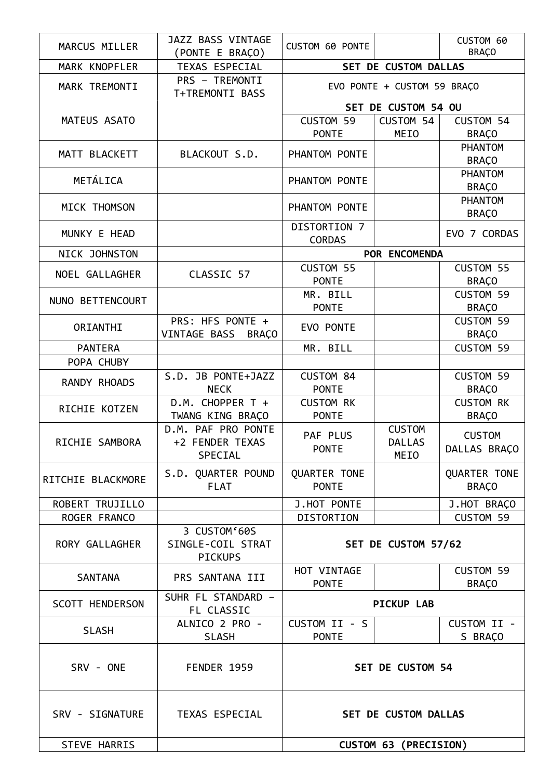| MARCUS MILLER          | JAZZ BASS VINTAGE<br>(PONTE E BRAÇO)                | CUSTOM 60 PONTE                  |                                        | CUSTOM 60<br><b>BRAÇO</b>        |
|------------------------|-----------------------------------------------------|----------------------------------|----------------------------------------|----------------------------------|
| MARK KNOPFLER          | TEXAS ESPECIAL                                      | SET DE CUSTOM DALLAS             |                                        |                                  |
| MARK TREMONTI          | PRS - TREMONTI<br>T+TREMONTI BASS                   | EVO PONTE + CUSTOM 59 BRAÇO      |                                        |                                  |
|                        |                                                     | SET DE CUSTOM 54 OU              |                                        |                                  |
| MATEUS ASATO           |                                                     | CUSTOM 59<br><b>PONTE</b>        | CUSTOM 54<br>MEIO                      | CUSTOM 54<br><b>BRAÇO</b>        |
| MATT BLACKETT          | BLACKOUT S.D.                                       | PHANTOM PONTE                    |                                        | <b>PHANTOM</b><br><b>BRAÇO</b>   |
| METÁLICA               |                                                     | PHANTOM PONTE                    |                                        | <b>PHANTOM</b><br><b>BRAÇO</b>   |
| MICK THOMSON           |                                                     | PHANTOM PONTE                    |                                        | PHANTOM<br><b>BRAÇO</b>          |
| MUNKY E HEAD           |                                                     | DISTORTION 7<br><b>CORDAS</b>    |                                        | EVO 7 CORDAS                     |
| NICK JOHNSTON          |                                                     |                                  | POR ENCOMENDA                          |                                  |
| NOEL GALLAGHER         | CLASSIC 57                                          | CUSTOM 55<br><b>PONTE</b>        |                                        | CUSTOM 55<br><b>BRAÇO</b>        |
| NUNO BETTENCOURT       |                                                     | MR. BILL<br><b>PONTE</b>         |                                        | CUSTOM 59<br><b>BRAÇO</b>        |
| ORIANTHI               | PRS: HFS PONTE +<br>VINTAGE BASS BRAÇO              | EVO PONTE                        |                                        | CUSTOM 59<br><b>BRAÇO</b>        |
| <b>PANTERA</b>         |                                                     | MR. BILL                         |                                        | CUSTOM 59                        |
| POPA CHUBY             |                                                     |                                  |                                        |                                  |
| RANDY RHOADS           | S.D. JB PONTE+JAZZ<br><b>NECK</b>                   | CUSTOM 84<br><b>PONTE</b>        |                                        | CUSTOM 59<br><b>BRAÇO</b>        |
| RICHIE KOTZEN          | D.M. CHOPPER T +<br>TWANG KING BRAÇO                | <b>CUSTOM RK</b><br><b>PONTE</b> |                                        | <b>CUSTOM RK</b><br><b>BRAÇO</b> |
| RICHIE SAMBORA         | D.M. PAF PRO PONTE<br>+2 FENDER TEXAS<br>SPECIAL    | PAF PLUS<br><b>PONTE</b>         | <b>CUSTOM</b><br><b>DALLAS</b><br>MEIO | <b>CUSTOM</b><br>DALLAS BRAÇO    |
| RITCHIE BLACKMORE      | S.D. QUARTER POUND<br><b>FLAT</b>                   | QUARTER TONE<br><b>PONTE</b>     |                                        | QUARTER TONE<br><b>BRAÇO</b>     |
| ROBERT TRUJILLO        |                                                     | J.HOT PONTE                      |                                        | J.HOT BRAÇO                      |
| ROGER FRANCO           |                                                     | DISTORTION                       |                                        | CUSTOM 59                        |
| RORY GALLAGHER         | 3 CUSTOM'60S<br>SINGLE-COIL STRAT<br><b>PICKUPS</b> | SET DE CUSTOM 57/62              |                                        |                                  |
| SANTANA                | PRS SANTANA III                                     | HOT VINTAGE<br><b>PONTE</b>      |                                        | CUSTOM 59<br><b>BRAÇO</b>        |
| <b>SCOTT HENDERSON</b> | SUHR FL STANDARD -<br>FL CLASSIC                    | <b>PICKUP LAB</b>                |                                        |                                  |
| <b>SLASH</b>           | ALNICO 2 PRO -<br><b>SLASH</b>                      | CUSTOM II - S<br><b>PONTE</b>    |                                        | CUSTOM II -<br>S BRAÇO           |
| SRV - ONE              | <b>FENDER 1959</b>                                  |                                  | SET DE CUSTOM 54                       |                                  |
| SRV - SIGNATURE        | TEXAS ESPECIAL                                      | SET DE CUSTOM DALLAS             |                                        |                                  |
| STEVE HARRIS           |                                                     |                                  | CUSTOM 63 (PRECISION)                  |                                  |